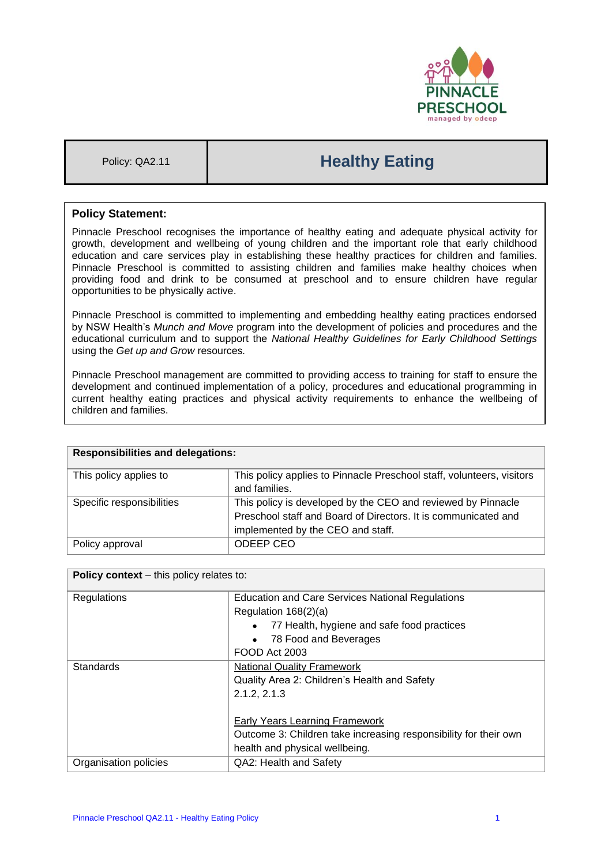

# Policy: QA2.11 **Healthy Eating**

# **Policy Statement:**

Pinnacle Preschool recognises the importance of healthy eating and adequate physical activity for growth, development and wellbeing of young children and the important role that early childhood education and care services play in establishing these healthy practices for children and families. Pinnacle Preschool is committed to assisting children and families make healthy choices when providing food and drink to be consumed at preschool and to ensure children have regular opportunities to be physically active.

Pinnacle Preschool is committed to implementing and embedding healthy eating practices endorsed by NSW Health's *Munch and Move* program into the development of policies and procedures and the educational curriculum and to support the *National Healthy Guidelines for Early Childhood Settings* using the *Get up and Grow* resources*.* 

Pinnacle Preschool management are committed to providing access to training for staff to ensure the development and continued implementation of a policy, procedures and educational programming in current healthy eating practices and physical activity requirements to enhance the wellbeing of children and families.

| <b>Responsibilities and delegations:</b> |                                                                       |  |
|------------------------------------------|-----------------------------------------------------------------------|--|
| This policy applies to                   | This policy applies to Pinnacle Preschool staff, volunteers, visitors |  |
|                                          | and families.                                                         |  |
| Specific responsibilities                | This policy is developed by the CEO and reviewed by Pinnacle          |  |
|                                          | Preschool staff and Board of Directors. It is communicated and        |  |
|                                          | implemented by the CEO and staff.                                     |  |
| Policy approval                          | ODEEP CEO                                                             |  |

| <b>Policy context</b> – this policy relates to: |                                                                  |  |
|-------------------------------------------------|------------------------------------------------------------------|--|
| Regulations                                     | <b>Education and Care Services National Regulations</b>          |  |
|                                                 | Regulation 168(2)(a)                                             |  |
|                                                 | 77 Health, hygiene and safe food practices<br>$\bullet$          |  |
|                                                 | 78 Food and Beverages<br>$\bullet$                               |  |
|                                                 | FOOD Act 2003                                                    |  |
| Standards                                       | <b>National Quality Framework</b>                                |  |
|                                                 | Quality Area 2: Children's Health and Safety                     |  |
|                                                 | 2.1.2, 2.1.3                                                     |  |
|                                                 |                                                                  |  |
|                                                 | Early Years Learning Framework                                   |  |
|                                                 | Outcome 3: Children take increasing responsibility for their own |  |
|                                                 | health and physical wellbeing.                                   |  |
| Organisation policies                           | QA2: Health and Safety                                           |  |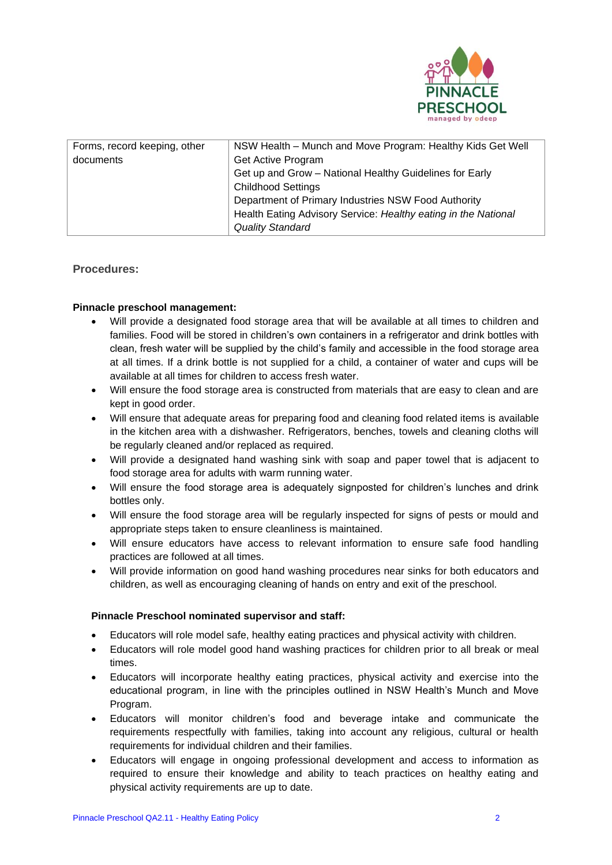

| Forms, record keeping, other | NSW Health – Munch and Move Program: Healthy Kids Get Well     |  |
|------------------------------|----------------------------------------------------------------|--|
| documents                    | Get Active Program                                             |  |
|                              | Get up and Grow - National Healthy Guidelines for Early        |  |
|                              | <b>Childhood Settings</b>                                      |  |
|                              | Department of Primary Industries NSW Food Authority            |  |
|                              | Health Eating Advisory Service: Healthy eating in the National |  |
|                              | <b>Quality Standard</b>                                        |  |

## **Procedures:**

### **Pinnacle preschool management:**

- Will provide a designated food storage area that will be available at all times to children and families. Food will be stored in children's own containers in a refrigerator and drink bottles with clean, fresh water will be supplied by the child's family and accessible in the food storage area at all times. If a drink bottle is not supplied for a child, a container of water and cups will be available at all times for children to access fresh water.
- Will ensure the food storage area is constructed from materials that are easy to clean and are kept in good order.
- Will ensure that adequate areas for preparing food and cleaning food related items is available in the kitchen area with a dishwasher. Refrigerators, benches, towels and cleaning cloths will be regularly cleaned and/or replaced as required.
- Will provide a designated hand washing sink with soap and paper towel that is adjacent to food storage area for adults with warm running water.
- Will ensure the food storage area is adequately signposted for children's lunches and drink bottles only.
- Will ensure the food storage area will be regularly inspected for signs of pests or mould and appropriate steps taken to ensure cleanliness is maintained.
- Will ensure educators have access to relevant information to ensure safe food handling practices are followed at all times.
- Will provide information on good hand washing procedures near sinks for both educators and children, as well as encouraging cleaning of hands on entry and exit of the preschool.

## **Pinnacle Preschool nominated supervisor and staff:**

- Educators will role model safe, healthy eating practices and physical activity with children.
- Educators will role model good hand washing practices for children prior to all break or meal times.
- Educators will incorporate healthy eating practices, physical activity and exercise into the educational program, in line with the principles outlined in NSW Health's Munch and Move Program.
- Educators will monitor children's food and beverage intake and communicate the requirements respectfully with families, taking into account any religious, cultural or health requirements for individual children and their families.
- Educators will engage in ongoing professional development and access to information as required to ensure their knowledge and ability to teach practices on healthy eating and physical activity requirements are up to date.